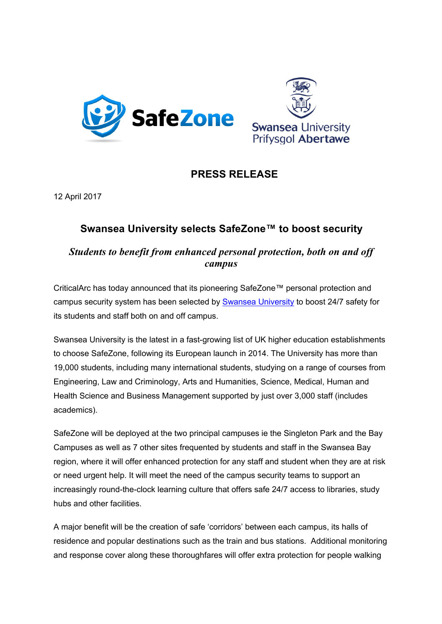



# **PRESS RELEASE**

12 April 2017

# **Swansea University selects SafeZone™ to boost security**

## *Students to benefit from enhanced personal protection, both on and off campus*

CriticalArc has today announced that its pioneering SafeZone™ personal protection and campus security system has been selected by **Swansea University** to boost 24/7 safety for its students and staff both on and off campus.

Swansea University is the latest in a fast-growing list of UK higher education establishments to choose SafeZone, following its European launch in 2014. The University has more than 19,000 students, including many international students, studying on a range of courses from Engineering, Law and Criminology, Arts and Humanities, Science, Medical, Human and Health Science and Business Management supported by just over 3,000 staff (includes academics).

SafeZone will be deployed at the two principal campuses ie the Singleton Park and the Bay Campuses as well as 7 other sites frequented by students and staff in the Swansea Bay region, where it will offer enhanced protection for any staff and student when they are at risk or need urgent help. It will meet the need of the campus security teams to support an increasingly round-the-clock learning culture that offers safe 24/7 access to libraries, study hubs and other facilities.

A major benefit will be the creation of safe 'corridors' between each campus, its halls of residence and popular destinations such as the train and bus stations. Additional monitoring and response cover along these thoroughfares will offer extra protection for people walking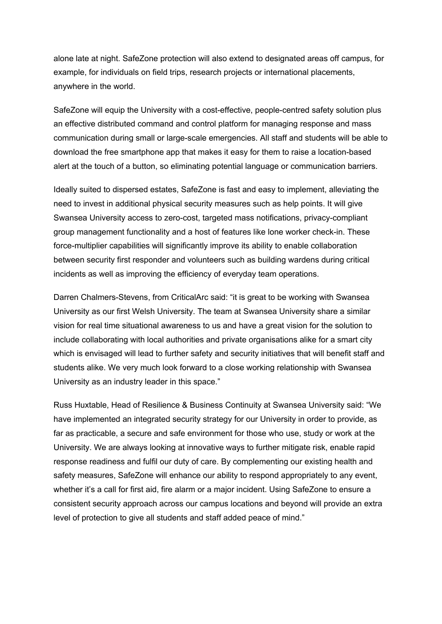alone late at night. SafeZone protection will also extend to designated areas off campus, for example, for individuals on field trips, research projects or international placements, anywhere in the world.

SafeZone will equip the University with a cost-effective, people-centred safety solution plus an effective distributed command and control platform for managing response and mass communication during small or large-scale emergencies. All staff and students will be able to download the free smartphone app that makes it easy for them to raise a location-based alert at the touch of a button, so eliminating potential language or communication barriers.

Ideally suited to dispersed estates, SafeZone is fast and easy to implement, alleviating the need to invest in additional physical security measures such as help points. It will give Swansea University access to zero-cost, targeted mass notifications, privacy-compliant group management functionality and a host of features like lone worker check-in. These force-multiplier capabilities will significantly improve its ability to enable collaboration between security first responder and volunteers such as building wardens during critical incidents as well as improving the efficiency of everyday team operations.

Darren Chalmers-Stevens, from CriticalArc said: "it is great to be working with Swansea University as our first Welsh University. The team at Swansea University share a similar vision for real time situational awareness to us and have a great vision for the solution to include collaborating with local authorities and private organisations alike for a smart city which is envisaged will lead to further safety and security initiatives that will benefit staff and students alike. We very much look forward to a close working relationship with Swansea University as an industry leader in this space."

Russ Huxtable, Head of Resilience & Business Continuity at Swansea University said: "We have implemented an integrated security strategy for our University in order to provide, as far as practicable, a secure and safe environment for those who use, study or work at the University. We are always looking at innovative ways to further mitigate risk, enable rapid response readiness and fulfil our duty of care. By complementing our existing health and safety measures, SafeZone will enhance our ability to respond appropriately to any event, whether it's a call for first aid, fire alarm or a major incident. Using SafeZone to ensure a consistent security approach across our campus locations and beyond will provide an extra level of protection to give all students and staff added peace of mind."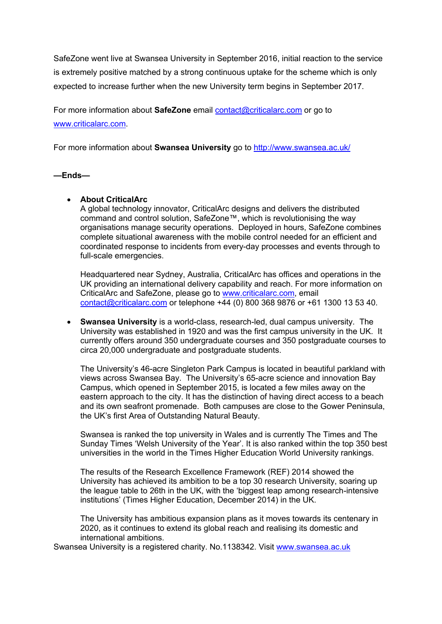SafeZone went live at Swansea University in September 2016, initial reaction to the service is extremely positive matched by a strong continuous uptake for the scheme which is only expected to increase further when the new University term begins in September 2017.

For more information about **SafeZone** email contact@criticalarc.com or go to www.criticalarc.com.

For more information about **Swansea University** go to http://www.swansea.ac.uk/

#### **—Ends—**

### • **About CriticalArc**

A global technology innovator, CriticalArc designs and delivers the distributed command and control solution, SafeZone™, which is revolutionising the way organisations manage security operations. Deployed in hours, SafeZone combines complete situational awareness with the mobile control needed for an efficient and coordinated response to incidents from every-day processes and events through to full-scale emergencies.

Headquartered near Sydney, Australia, CriticalArc has offices and operations in the UK providing an international delivery capability and reach. For more information on CriticalArc and SafeZone, please go to www.criticalarc.com, email contact@criticalarc.com or telephone +44 (0) 800 368 9876 or +61 1300 13 53 40.

• **Swansea University** is a world-class, research-led, dual campus university. The University was established in 1920 and was the first campus university in the UK. It currently offers around 350 undergraduate courses and 350 postgraduate courses to circa 20,000 undergraduate and postgraduate students.

The University's 46-acre Singleton Park Campus is located in beautiful parkland with views across Swansea Bay. The University's 65-acre science and innovation Bay Campus, which opened in September 2015, is located a few miles away on the eastern approach to the city. It has the distinction of having direct access to a beach and its own seafront promenade. Both campuses are close to the Gower Peninsula, the UK's first Area of Outstanding Natural Beauty.

Swansea is ranked the top university in Wales and is currently The Times and The Sunday Times 'Welsh University of the Year'. It is also ranked within the top 350 best universities in the world in the Times Higher Education World University rankings.

The results of the Research Excellence Framework (REF) 2014 showed the University has achieved its ambition to be a top 30 research University, soaring up the league table to 26th in the UK, with the 'biggest leap among research-intensive institutions' (Times Higher Education, December 2014) in the UK.

The University has ambitious expansion plans as it moves towards its centenary in 2020, as it continues to extend its global reach and realising its domestic and international ambitions.

Swansea University is a registered charity. No.1138342. Visit www.swansea.ac.uk